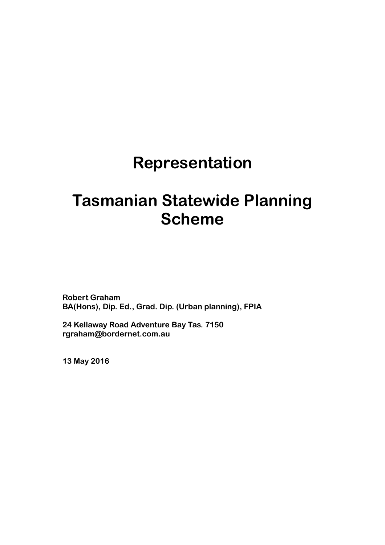# **Representation**

# **Tasmanian Statewide Planning Scheme**

**Robert Graham BA(Hons), Dip. Ed., Grad. Dip. (Urban planning), FPIA** 

**24 Kellaway Road Adventure Bay Tas. 7150 rgraham@bordernet.com.au** 

**13 May 2016**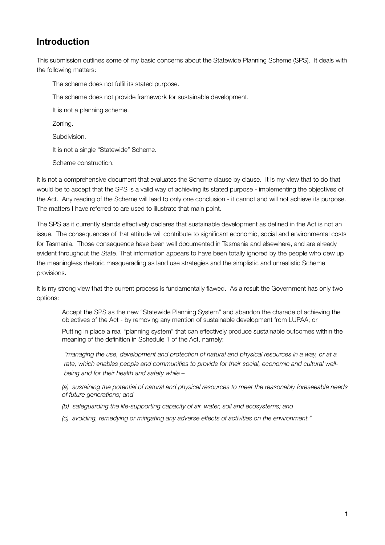## **Introduction**

This submission outlines some of my basic concerns about the Statewide Planning Scheme (SPS). It deals with the following matters:

The scheme does not fulfil its stated purpose.

The scheme does not provide framework for sustainable development.

It is not a planning scheme.

Zoning.

Subdivision.

It is not a single "Statewide" Scheme.

Scheme construction.

It is not a comprehensive document that evaluates the Scheme clause by clause. It is my view that to do that would be to accept that the SPS is a valid way of achieving its stated purpose - implementing the objectives of the Act. Any reading of the Scheme will lead to only one conclusion - it cannot and will not achieve its purpose. The matters I have referred to are used to illustrate that main point.

The SPS as it currently stands effectively declares that sustainable development as defined in the Act is not an issue. The consequences of that attitude will contribute to significant economic, social and environmental costs for Tasmania. Those consequence have been well documented in Tasmania and elsewhere, and are already evident throughout the State. That information appears to have been totally ignored by the people who dew up the meaningless rhetoric masquerading as land use strategies and the simplistic and unrealistic Scheme provisions.

It is my strong view that the current process is fundamentally flawed. As a result the Government has only two options:

Accept the SPS as the new "Statewide Planning System" and abandon the charade of achieving the objectives of the Act - by removing any mention of sustainable development from LUPAA; or

Putting in place a real "planning system" that can effectively produce sustainable outcomes within the meaning of the definition in Schedule 1 of the Act, namely:

*"managing the use, development and protection of natural and physical resources in a way, or at a rate, which enables people and communities to provide for their social, economic and cultural wellbeing and for their health and safety while –* 

*(a) sustaining the potential of natural and physical resources to meet the reasonably foreseeable needs of future generations; and* 

*(b) safeguarding the life-supporting capacity of air, water, soil and ecosystems; and* 

*(c) avoiding, remedying or mitigating any adverse effects of activities on the environment."*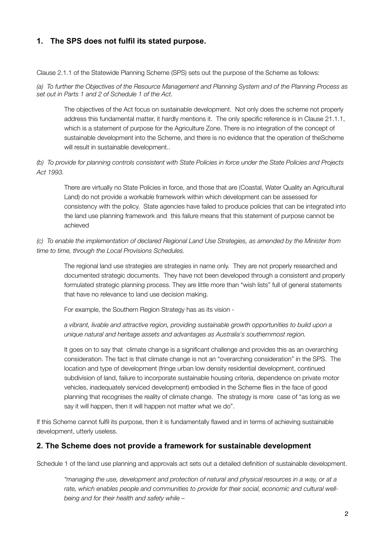### **1. The SPS does not fulfil its stated purpose.**

Clause 2.1.1 of the Statewide Planning Scheme (SPS) sets out the purpose of the Scheme as follows:

*(a) To further the Objectives of the Resource Management and Planning System and of the Planning Process as set out in Parts 1 and 2 of Schedule 1 of the Act.*

The objectives of the Act focus on sustainable development. Not only does the scheme not properly address this fundamental matter, it hardly mentions it. The only specific reference is in Clause 21.1.1, which is a statement of purpose for the Agriculture Zone. There is no integration of the concept of sustainable development into the Scheme, and there is no evidence that the operation of theScheme will result in sustainable development..

*(b) To provide for planning controls consistent with State Policies in force under the State Policies and Projects Act 1993.* 

There are virtually no State Policies in force, and those that are (Coastal, Water Quality an Agricultural Land) do not provide a workable framework within which development can be assessed for consistency with the policy. State agencies have failed to produce policies that can be integrated into the land use planning framework and this failure means that this statement of purpose cannot be achieved

#### *(c) To enable the implementation of declared Regional Land Use Strategies, as amended by the Minister from time to time, through the Local Provisions Schedules.*

The regional land use strategies are strategies in name only. They are not properly researched and documented strategic documents. They have not been developed through a consistent and properly formulated strategic planning process. They are little more than "wish lists" full of general statements that have no relevance to land use decision making.

For example, the Southern Region Strategy has as its vision -

*a vibrant, livable and attractive region, providing sustainable growth opportunities to build upon a unique natural and heritage assets and advantages as Australia's southernmost region.*

It goes on to say that climate change is a significant challenge and provides this as an overarching consideration. The fact is that climate change is not an "overarching consideration" in the SPS. The location and type of development (fringe urban low density residential development, continued subdivision of land, failure to incorporate sustainable housing criteria, dependence on private motor vehicles, inadequately serviced development) embodied in the Scheme flies in the face of good planning that recognises the reality of climate change. The strategy is more case of "as long as we say it will happen, then it will happen not matter what we do".

If this Scheme cannot fulfil its purpose, then it is fundamentally flawed and in terms of achieving sustainable development, utterly useless.

#### **2. The Scheme does not provide a framework for sustainable development**

Schedule 1 of the land use planning and approvals act sets out a detailed definition of sustainable development.

*"managing the use, development and protection of natural and physical resources in a way, or at a rate, which enables people and communities to provide for their social, economic and cultural wellbeing and for their health and safety while –*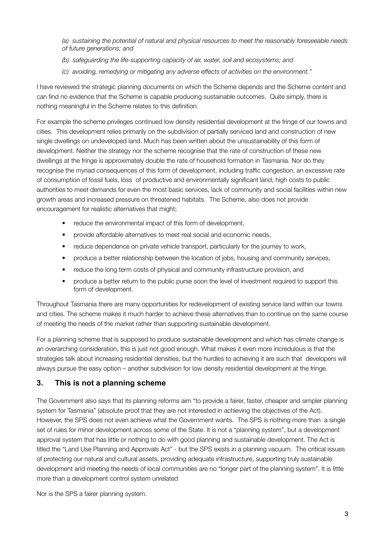*(a) sustaining the potential of natural and physical resources to meet the reasonably foreseeable needs of future generations; and* 

- *(b) safeguarding the life-supporting capacity of air, water, soil and ecosystems; and*
- *(c) avoiding, remedying or mitigating any adverse effects of activities on the environment."*

I have reviewed the strategic planning documents on which the Scheme depends and the Scheme content and can find no evidence that the Scheme is capable producing sustainable outcomes. Quite simply, there is nothing meaningful in the Scheme relates to this definition.

For example the scheme privileges continued low density residential development at the fringe of our towns and cities. This development relies primarily on the subdivision of partially serviced land and construction of new single dwellings on undeveloped land. Much has been written about the unsustainability of this form of development. Neither the strategy nor the scheme recognise that the rate of construction of these new dwellings at the fringe is approximately double the rate of household formation in Tasmania. Nor do they recognise the myriad consequences of this form of development, including traffic congestion, an excessive rate of consumption of fossil fuels, loss of productive and environmentally significant land, high costs to public authorities to meet demands for even the most basic services, lack of community and social facilities within new growth areas and increased pressure on threatened habitats. The Scheme, also does not provide encouragement for realistic alternatives that might;

- reduce the environmental impact of this form of development,
- provide affordable alternatives to meet real social and economic needs,
- reduce dependence on private vehicle transport, particularly for the journey to work,
- produce a better relationship between the location of jobs, housing and community services,
- reduce the long term costs of physical and community infrastructure provision, and
- produce a better return to the public purse soon the level of investment required to support this form of development.

Throughout Tasmania there are many opportunities for redevelopment of existing service land within our towns and cities. The scheme makes it much harder to achieve these alternatives than to continue on the same course of meeting the needs of the market rather than supporting sustainable development.

For a planning scheme that is supposed to produce sustainable development and which has climate change is an overarching consideration, this is just not good enough. What makes it even more incredulous is that the strategies talk about increasing residential densities, but the hurdles to achieving it are such that developers will always pursue the easy option – another subdivision for low density residential development at the fringe.

#### **3. This is not a planning scheme**

The Government also says that its planning reforms aim "to provide a fairer, faster, cheaper and simpler planning system for Tasmania" (absolute proof that they are not interested in achieving the objectives of the Act). However, the SPS does not even achieve what the Government wants. The SPS is nothing more than a single set of rules for minor development across some of the State. It is not a "planning system", but a development approval system that has little or nothing to do with good planning and sustainable development. The Act is titled the "Land Use Planning and Approvals Act" - but the SPS exists in a planning vacuum. The critical issues of protecting our natural and cultural assets, providing adequate infrastructure, supporting truly sustainable development and meeting the needs of local communities are no "longer part of the planning system". It is little more than a development control system unrelated

Nor is the SPS a fairer planning system.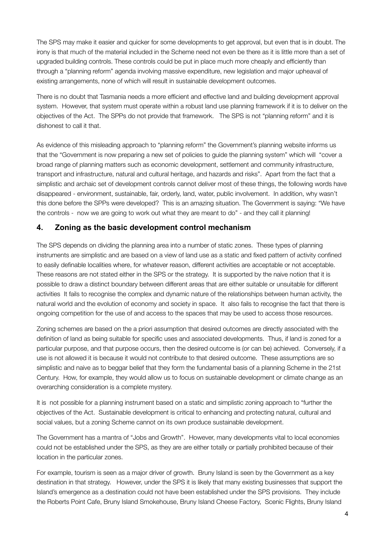The SPS may make it easier and quicker for some developments to get approval, but even that is in doubt. The irony is that much of the material included in the Scheme need not even be there as it is little more than a set of upgraded building controls. These controls could be put in place much more cheaply and efficiently than through a "planning reform" agenda involving massive expenditure, new legislation and major upheaval of existing arrangements, none of which will result in sustainable development outcomes.

There is no doubt that Tasmania needs a more efficient and effective land and building development approval system. However, that system must operate within a robust land use planning framework if it is to deliver on the objectives of the Act. The SPPs do not provide that framework. The SPS is not "planning reform" and it is dishonest to call it that.

As evidence of this misleading approach to "planning reform" the Government's planning website informs us that the "Government is now preparing a new set of policies to guide the planning system" which will "cover a broad range of planning matters such as economic development, settlement and community infrastructure, transport and infrastructure, natural and cultural heritage, and hazards and risks". Apart from the fact that a simplistic and archaic set of development controls cannot deliver most of these things, the following words have disappeared - environment, sustainable, fair, orderly, land, water, public involvement. In addition, why wasn't this done before the SPPs were developed? This is an amazing situation. The Government is saying: "We have the controls - now we are going to work out what they are meant to do" - and they call it planning!

#### **4. Zoning as the basic development control mechanism**

The SPS depends on dividing the planning area into a number of static zones. These types of planning instruments are simplistic and are based on a view of land use as a static and fixed pattern of activity confined to easily definable localities where, for whatever reason, different activities are acceptable or not acceptable. These reasons are not stated either in the SPS or the strategy. It is supported by the naive notion that it is possible to draw a distinct boundary between different areas that are either suitable or unsuitable for different activities It fails to recognise the complex and dynamic nature of the relationships between human activity, the natural world and the evolution of economy and society in space. It also fails to recognise the fact that there is ongoing competition for the use of and access to the spaces that may be used to access those resources.

Zoning schemes are based on the a priori assumption that desired outcomes are directly associated with the definition of land as being suitable for specific uses and associated developments. Thus, if land is zoned for a particular purpose, and that purpose occurs, then the desired outcome is (or can be) achieved. Conversely, if a use is not allowed it is because it would not contribute to that desired outcome. These assumptions are so simplistic and naive as to beggar belief that they form the fundamental basis of a planning Scheme in the 21st Century. How, for example, they would allow us to focus on sustainable development or climate change as an overarching consideration is a complete mystery.

It is not possible for a planning instrument based on a static and simplistic zoning approach to "further the objectives of the Act. Sustainable development is critical to enhancing and protecting natural, cultural and social values, but a zoning Scheme cannot on its own produce sustainable development.

The Government has a mantra of "Jobs and Growth". However, many developments vital to local economies could not be established under the SPS, as they are are either totally or partially prohibited because of their location in the particular zones.

For example, tourism is seen as a major driver of growth. Bruny Island is seen by the Government as a key destination in that strategy. However, under the SPS it is likely that many existing businesses that support the Island's emergence as a destination could not have been established under the SPS provisions. They include the Roberts Point Cafe, Bruny Island Smokehouse, Bruny Island Cheese Factory, Scenic Flights, Bruny Island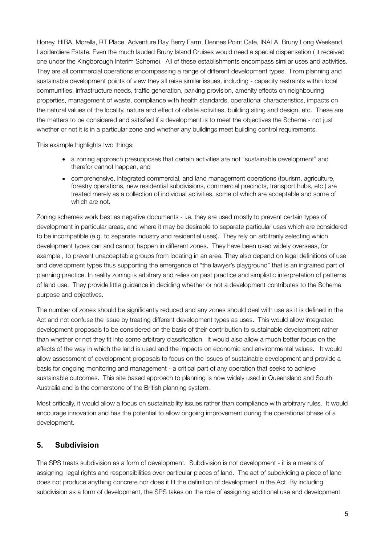Honey, HIBA, Morella, RT Place, Adventure Bay Berry Farm, Dennes Point Cafe, INALA, Bruny Long Weekend, Labillardiere Estate. Even the much lauded Bruny Island Cruises would need a special dispensation ( it received one under the Kingborough Interim Scheme). All of these establishments encompass similar uses and activities. They are all commercial operations encompassing a range of different development types. From planning and sustainable development points of view they all raise similar issues, including - capacity restraints within local communities, infrastructure needs, traffic generation, parking provision, amenity effects on neighbouring properties, management of waste, compliance with health standards, operational characteristics, impacts on the natural values of the locality, nature and effect of offsite activities, building siting and design, etc. These are the matters to be considered and satisfied if a development is to meet the objectives the Scheme - not just whether or not it is in a particular zone and whether any buildings meet building control requirements.

This example highlights two things:

- a zoning approach presupposes that certain activities are not "sustainable development" and therefor cannot happen, and
- comprehensive, integrated commercial, and land management operations (tourism, agriculture, forestry operations, new residential subdivisions, commercial precincts, transport hubs, etc.) are treated merely as a collection of individual activities, some of which are acceptable and some of which are not.

Zoning schemes work best as negative documents - i.e. they are used mostly to prevent certain types of development in particular areas, and where it may be desirable to separate particular uses which are considered to be incompatible (e.g. to separate industry and residential uses). They rely on arbitrarily selecting which development types can and cannot happen in different zones. They have been used widely overseas, for example , to prevent unacceptable groups from locating in an area. They also depend on legal definitions of use and development types thus supporting the emergence of "the lawyer's playground" that is an ingrained part of planning practice. In reality zoning is arbitrary and relies on past practice and simplistic interpretation of patterns of land use. They provide little guidance in deciding whether or not a development contributes to the Scheme purpose and objectives.

The number of zones should be significantly reduced and any zones should deal with use as it is defined in the Act and not confuse the issue by treating different development types as uses. This would allow integrated development proposals to be considered on the basis of their contribution to sustainable development rather than whether or not they fit into some arbitrary classification. It would also allow a much better focus on the effects of the way in which the land is used and the impacts on economic and environmental values. It would allow assessment of development proposals to focus on the issues of sustainable development and provide a basis for ongoing monitoring and management - a critical part of any operation that seeks to achieve sustainable outcomes. This site based approach to planning is now widely used in Queensland and South Australia and is the cornerstone of the British planning system.

Most critically, it would allow a focus on sustainability issues rather than compliance with arbitrary rules. It would encourage innovation and has the potential to allow ongoing improvement during the operational phase of a development.

#### **5. Subdivision**

The SPS treats subdivision as a form of development. Subdivision is not development - it is a means of assigning legal rights and responsibilities over particular pieces of land. The act of subdividing a piece of land does not produce anything concrete nor does it fit the definition of development in the Act. By including subdivision as a form of development, the SPS takes on the role of assigning additional use and development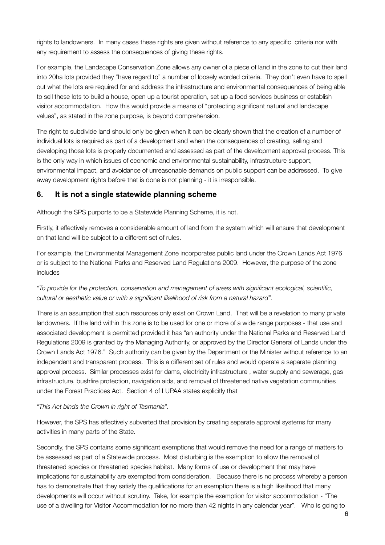rights to landowners. In many cases these rights are given without reference to any specific criteria nor with any requirement to assess the consequences of giving these rights.

For example, the Landscape Conservation Zone allows any owner of a piece of land in the zone to cut their land into 20ha lots provided they "have regard to" a number of loosely worded criteria. They don't even have to spell out what the lots are required for and address the infrastructure and environmental consequences of being able to sell these lots to build a house, open up a tourist operation, set up a food services business or establish visitor accommodation. How this would provide a means of "protecting significant natural and landscape values", as stated in the zone purpose, is beyond comprehension.

The right to subdivide land should only be given when it can be clearly shown that the creation of a number of individual lots is required as part of a development and when the consequences of creating, selling and developing those lots is properly documented and assessed as part of the development approval process. This is the only way in which issues of economic and environmental sustainability, infrastructure support, environmental impact, and avoidance of unreasonable demands on public support can be addressed. To give away development rights before that is done is not planning - it is irresponsible.

#### **6. It is not a single statewide planning scheme**

Although the SPS purports to be a Statewide Planning Scheme, it is not.

Firstly, it effectively removes a considerable amount of land from the system which will ensure that development on that land will be subject to a different set of rules.

For example, the Environmental Management Zone incorporates public land under the Crown Lands Act 1976 or is subject to the National Parks and Reserved Land Regulations 2009. However, the purpose of the zone includes

*"To provide for the protection, conservation and management of areas with significant ecological, scientific, cultural or aesthetic value or with a significant likelihood of risk from a natural hazard".* 

There is an assumption that such resources only exist on Crown Land. That will be a revelation to many private landowners. If the land within this zone is to be used for one or more of a wide range purposes - that use and associated development is permitted provided it has "an authority under the National Parks and Reserved Land Regulations 2009 is granted by the Managing Authority, or approved by the Director General of Lands under the Crown Lands Act 1976." Such authority can be given by the Department or the Minister without reference to an independent and transparent process. This is a different set of rules and would operate a separate planning approval process. Similar processes exist for dams, electricity infrastructure , water supply and sewerage, gas infrastructure, bushfire protection, navigation aids, and removal of threatened native vegetation communities under the Forest Practices Act. Section 4 of LUPAA states explicitly that

#### *"This Act binds the Crown in right of Tasmania".*

However, the SPS has effectively subverted that provision by creating separate approval systems for many activities in many parts of the State.

Secondly, the SPS contains some significant exemptions that would remove the need for a range of matters to be assessed as part of a Statewide process. Most disturbing is the exemption to allow the removal of threatened species or threatened species habitat. Many forms of use or development that may have implications for sustainability are exempted from consideration. Because there is no process whereby a person has to demonstrate that they satisfy the qualifications for an exemption there is a high likelihood that many developments will occur without scrutiny. Take, for example the exemption for visitor accommodation - "The use of a dwelling for Visitor Accommodation for no more than 42 nights in any calendar year". Who is going to